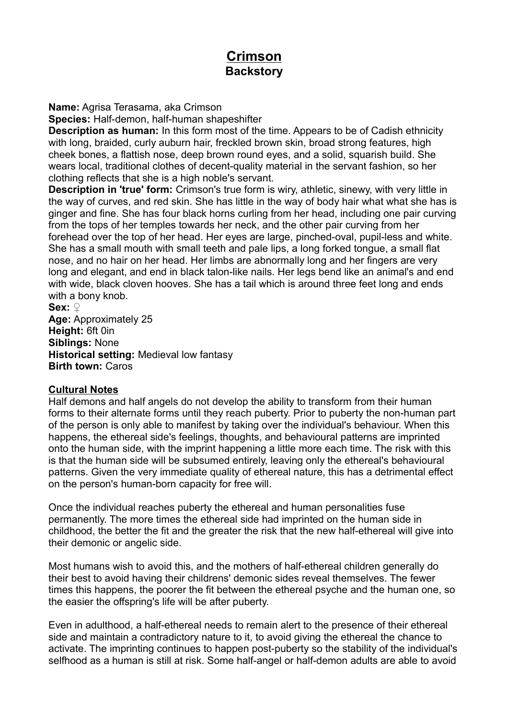# **Crimson Backstory**

**Name:** Agrisa Terasama, aka Crimson

**Species:** Half-demon, half-human shapeshifter

**Description as human:** In this form most of the time. Appears to be of Cadish ethnicity with long, braided, curly auburn hair, freckled brown skin, broad strong features, high cheek bones, a flattish nose, deep brown round eyes, and a solid, squarish build. She wears local, traditional clothes of decent-quality material in the servant fashion, so her clothing reflects that she is a high noble's servant.

**Description in 'true' form:** Crimson's true form is wiry, athletic, sinewy, with very little in the way of curves, and red skin. She has little in the way of body hair what what she has is ginger and fine. She has four black horns curling from her head, including one pair curving from the tops of her temples towards her neck, and the other pair curving from her forehead over the top of her head. Her eyes are large, pinched-oval, pupil-less and white. She has a small mouth with small teeth and pale lips, a long forked tongue, a small flat nose, and no hair on her head. Her limbs are abnormally long and her fingers are very long and elegant, and end in black talon-like nails. Her legs bend like an animal's and end with wide, black cloven hooves. She has a tail which is around three feet long and ends with a bony knob.

**Sex:** ♀ **Age:** Approximately 25 **Height:** 6ft 0in **Siblings:** None **Historical setting:** Medieval low fantasy **Birth town:** Caros

## **Cultural Notes**

Half demons and half angels do not develop the ability to transform from their human forms to their alternate forms until they reach puberty. Prior to puberty the non-human part of the person is only able to manifest by taking over the individual's behaviour. When this happens, the ethereal side's feelings, thoughts, and behavioural patterns are imprinted onto the human side, with the imprint happening a little more each time. The risk with this is that the human side will be subsumed entirely, leaving only the ethereal's behavioural patterns. Given the very immediate quality of ethereal nature, this has a detrimental effect on the person's human-born capacity for free will.

Once the individual reaches puberty the ethereal and human personalities fuse permanently. The more times the ethereal side had imprinted on the human side in childhood, the better the fit and the greater the risk that the new half-ethereal will give into their demonic or angelic side.

Most humans wish to avoid this, and the mothers of half-ethereal children generally do their best to avoid having their childrens' demonic sides reveal themselves. The fewer times this happens, the poorer the fit between the ethereal psyche and the human one, so the easier the offspring's life will be after puberty.

Even in adulthood, a half-ethereal needs to remain alert to the presence of their ethereal side and maintain a contradictory nature to it, to avoid giving the ethereal the chance to activate. The imprinting continues to happen post-puberty so the stability of the individual's selfhood as a human is still at risk. Some half-angel or half-demon adults are able to avoid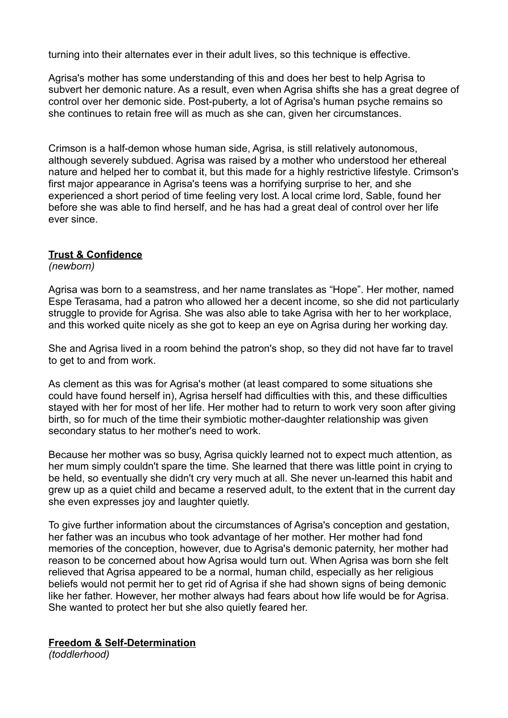turning into their alternates ever in their adult lives, so this technique is effective.

Agrisa's mother has some understanding of this and does her best to help Agrisa to subvert her demonic nature. As a result, even when Agrisa shifts she has a great degree of control over her demonic side. Post-puberty, a lot of Agrisa's human psyche remains so she continues to retain free will as much as she can, given her circumstances.

Crimson is a half-demon whose human side, Agrisa, is still relatively autonomous, although severely subdued. Agrisa was raised by a mother who understood her ethereal nature and helped her to combat it, but this made for a highly restrictive lifestyle. Crimson's first major appearance in Agrisa's teens was a horrifying surprise to her, and she experienced a short period of time feeling very lost. A local crime lord, Sable, found her before she was able to find herself, and he has had a great deal of control over her life ever since.

## **Trust & Confidence**

*(newborn)*

Agrisa was born to a seamstress, and her name translates as "Hope". Her mother, named Espe Terasama, had a patron who allowed her a decent income, so she did not particularly struggle to provide for Agrisa. She was also able to take Agrisa with her to her workplace, and this worked quite nicely as she got to keep an eye on Agrisa during her working day.

She and Agrisa lived in a room behind the patron's shop, so they did not have far to travel to get to and from work.

As clement as this was for Agrisa's mother (at least compared to some situations she could have found herself in), Agrisa herself had difficulties with this, and these difficulties stayed with her for most of her life. Her mother had to return to work very soon after giving birth, so for much of the time their symbiotic mother-daughter relationship was given secondary status to her mother's need to work.

Because her mother was so busy, Agrisa quickly learned not to expect much attention, as her mum simply couldn't spare the time. She learned that there was little point in crying to be held, so eventually she didn't cry very much at all. She never un-learned this habit and grew up as a quiet child and became a reserved adult, to the extent that in the current day she even expresses joy and laughter quietly.

To give further information about the circumstances of Agrisa's conception and gestation, her father was an incubus who took advantage of her mother. Her mother had fond memories of the conception, however, due to Agrisa's demonic paternity, her mother had reason to be concerned about how Agrisa would turn out. When Agrisa was born she felt relieved that Agrisa appeared to be a normal, human child, especially as her religious beliefs would not permit her to get rid of Agrisa if she had shown signs of being demonic like her father. However, her mother always had fears about how life would be for Agrisa. She wanted to protect her but she also quietly feared her.

## **Freedom & Self-Determination**

*(toddlerhood)*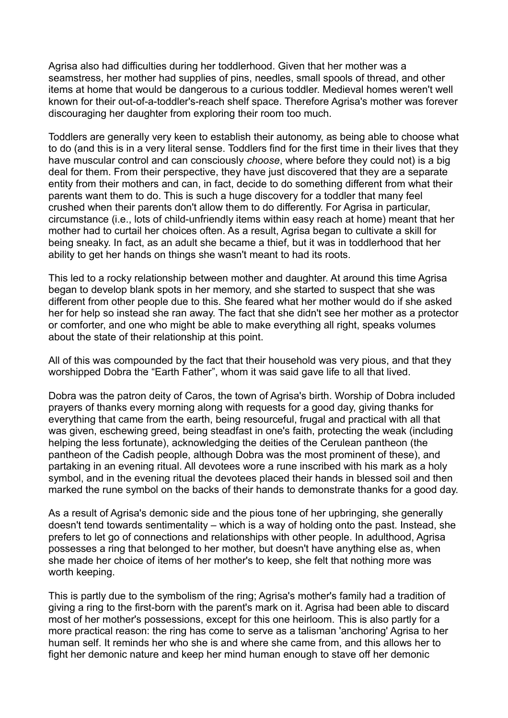Agrisa also had difficulties during her toddlerhood. Given that her mother was a seamstress, her mother had supplies of pins, needles, small spools of thread, and other items at home that would be dangerous to a curious toddler. Medieval homes weren't well known for their out-of-a-toddler's-reach shelf space. Therefore Agrisa's mother was forever discouraging her daughter from exploring their room too much.

Toddlers are generally very keen to establish their autonomy, as being able to choose what to do (and this is in a very literal sense. Toddlers find for the first time in their lives that they have muscular control and can consciously *choose*, where before they could not) is a big deal for them. From their perspective, they have just discovered that they are a separate entity from their mothers and can, in fact, decide to do something different from what their parents want them to do. This is such a huge discovery for a toddler that many feel crushed when their parents don't allow them to do differently. For Agrisa in particular, circumstance (i.e., lots of child-unfriendly items within easy reach at home) meant that her mother had to curtail her choices often. As a result, Agrisa began to cultivate a skill for being sneaky. In fact, as an adult she became a thief, but it was in toddlerhood that her ability to get her hands on things she wasn't meant to had its roots.

This led to a rocky relationship between mother and daughter. At around this time Agrisa began to develop blank spots in her memory, and she started to suspect that she was different from other people due to this. She feared what her mother would do if she asked her for help so instead she ran away. The fact that she didn't see her mother as a protector or comforter, and one who might be able to make everything all right, speaks volumes about the state of their relationship at this point.

All of this was compounded by the fact that their household was very pious, and that they worshipped Dobra the "Earth Father", whom it was said gave life to all that lived.

Dobra was the patron deity of Caros, the town of Agrisa's birth. Worship of Dobra included prayers of thanks every morning along with requests for a good day, giving thanks for everything that came from the earth, being resourceful, frugal and practical with all that was given, eschewing greed, being steadfast in one's faith, protecting the weak (including helping the less fortunate), acknowledging the deities of the Cerulean pantheon (the pantheon of the Cadish people, although Dobra was the most prominent of these), and partaking in an evening ritual. All devotees wore a rune inscribed with his mark as a holy symbol, and in the evening ritual the devotees placed their hands in blessed soil and then marked the rune symbol on the backs of their hands to demonstrate thanks for a good day.

As a result of Agrisa's demonic side and the pious tone of her upbringing, she generally doesn't tend towards sentimentality – which is a way of holding onto the past. Instead, she prefers to let go of connections and relationships with other people. In adulthood, Agrisa possesses a ring that belonged to her mother, but doesn't have anything else as, when she made her choice of items of her mother's to keep, she felt that nothing more was worth keeping.

This is partly due to the symbolism of the ring; Agrisa's mother's family had a tradition of giving a ring to the first-born with the parent's mark on it. Agrisa had been able to discard most of her mother's possessions, except for this one heirloom. This is also partly for a more practical reason: the ring has come to serve as a talisman 'anchoring' Agrisa to her human self. It reminds her who she is and where she came from, and this allows her to fight her demonic nature and keep her mind human enough to stave off her demonic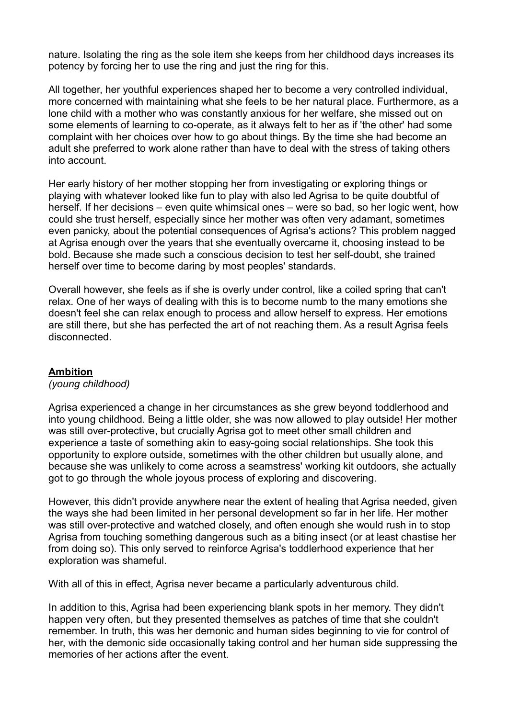nature. Isolating the ring as the sole item she keeps from her childhood days increases its potency by forcing her to use the ring and just the ring for this.

All together, her youthful experiences shaped her to become a very controlled individual, more concerned with maintaining what she feels to be her natural place. Furthermore, as a lone child with a mother who was constantly anxious for her welfare, she missed out on some elements of learning to co-operate, as it always felt to her as if 'the other' had some complaint with her choices over how to go about things. By the time she had become an adult she preferred to work alone rather than have to deal with the stress of taking others into account.

Her early history of her mother stopping her from investigating or exploring things or playing with whatever looked like fun to play with also led Agrisa to be quite doubtful of herself. If her decisions – even quite whimsical ones – were so bad, so her logic went, how could she trust herself, especially since her mother was often very adamant, sometimes even panicky, about the potential consequences of Agrisa's actions? This problem nagged at Agrisa enough over the years that she eventually overcame it, choosing instead to be bold. Because she made such a conscious decision to test her self-doubt, she trained herself over time to become daring by most peoples' standards.

Overall however, she feels as if she is overly under control, like a coiled spring that can't relax. One of her ways of dealing with this is to become numb to the many emotions she doesn't feel she can relax enough to process and allow herself to express. Her emotions are still there, but she has perfected the art of not reaching them. As a result Agrisa feels disconnected.

## **Ambition**

## *(young childhood)*

Agrisa experienced a change in her circumstances as she grew beyond toddlerhood and into young childhood. Being a little older, she was now allowed to play outside! Her mother was still over-protective, but crucially Agrisa got to meet other small children and experience a taste of something akin to easy-going social relationships. She took this opportunity to explore outside, sometimes with the other children but usually alone, and because she was unlikely to come across a seamstress' working kit outdoors, she actually got to go through the whole joyous process of exploring and discovering.

However, this didn't provide anywhere near the extent of healing that Agrisa needed, given the ways she had been limited in her personal development so far in her life. Her mother was still over-protective and watched closely, and often enough she would rush in to stop Agrisa from touching something dangerous such as a biting insect (or at least chastise her from doing so). This only served to reinforce Agrisa's toddlerhood experience that her exploration was shameful.

With all of this in effect, Agrisa never became a particularly adventurous child.

In addition to this, Agrisa had been experiencing blank spots in her memory. They didn't happen very often, but they presented themselves as patches of time that she couldn't remember. In truth, this was her demonic and human sides beginning to vie for control of her, with the demonic side occasionally taking control and her human side suppressing the memories of her actions after the event.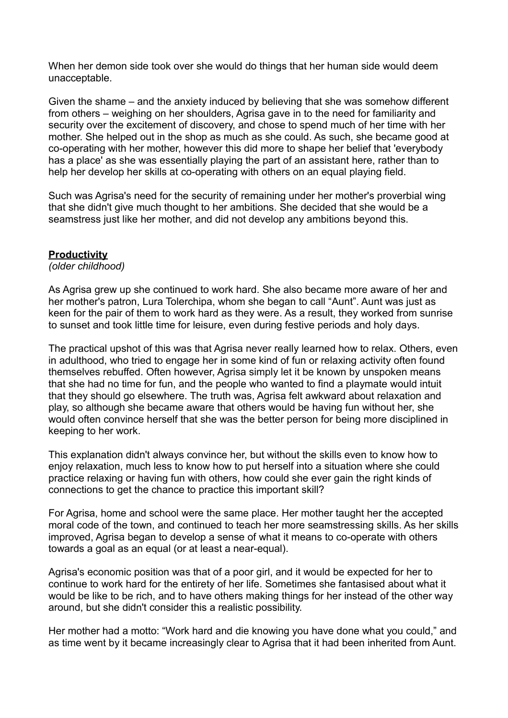When her demon side took over she would do things that her human side would deem unacceptable.

Given the shame – and the anxiety induced by believing that she was somehow different from others – weighing on her shoulders, Agrisa gave in to the need for familiarity and security over the excitement of discovery, and chose to spend much of her time with her mother. She helped out in the shop as much as she could. As such, she became good at co-operating with her mother, however this did more to shape her belief that 'everybody has a place' as she was essentially playing the part of an assistant here, rather than to help her develop her skills at co-operating with others on an equal playing field.

Such was Agrisa's need for the security of remaining under her mother's proverbial wing that she didn't give much thought to her ambitions. She decided that she would be a seamstress just like her mother, and did not develop any ambitions beyond this.

#### **Productivity**

*(older childhood)*

As Agrisa grew up she continued to work hard. She also became more aware of her and her mother's patron, Lura Tolerchipa, whom she began to call "Aunt". Aunt was just as keen for the pair of them to work hard as they were. As a result, they worked from sunrise to sunset and took little time for leisure, even during festive periods and holy days.

The practical upshot of this was that Agrisa never really learned how to relax. Others, even in adulthood, who tried to engage her in some kind of fun or relaxing activity often found themselves rebuffed. Often however, Agrisa simply let it be known by unspoken means that she had no time for fun, and the people who wanted to find a playmate would intuit that they should go elsewhere. The truth was, Agrisa felt awkward about relaxation and play, so although she became aware that others would be having fun without her, she would often convince herself that she was the better person for being more disciplined in keeping to her work.

This explanation didn't always convince her, but without the skills even to know how to enjoy relaxation, much less to know how to put herself into a situation where she could practice relaxing or having fun with others, how could she ever gain the right kinds of connections to get the chance to practice this important skill?

For Agrisa, home and school were the same place. Her mother taught her the accepted moral code of the town, and continued to teach her more seamstressing skills. As her skills improved, Agrisa began to develop a sense of what it means to co-operate with others towards a goal as an equal (or at least a near-equal).

Agrisa's economic position was that of a poor girl, and it would be expected for her to continue to work hard for the entirety of her life. Sometimes she fantasised about what it would be like to be rich, and to have others making things for her instead of the other way around, but she didn't consider this a realistic possibility.

Her mother had a motto: "Work hard and die knowing you have done what you could," and as time went by it became increasingly clear to Agrisa that it had been inherited from Aunt.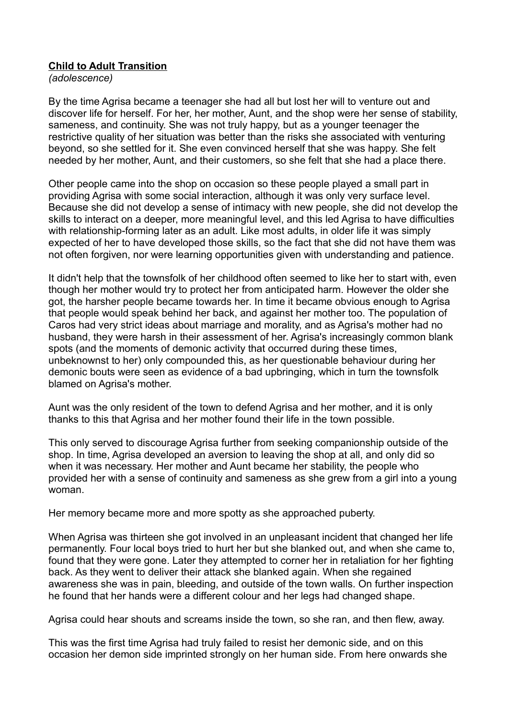## **Child to Adult Transition**

*(adolescence)*

By the time Agrisa became a teenager she had all but lost her will to venture out and discover life for herself. For her, her mother, Aunt, and the shop were her sense of stability, sameness, and continuity. She was not truly happy, but as a younger teenager the restrictive quality of her situation was better than the risks she associated with venturing beyond, so she settled for it. She even convinced herself that she was happy. She felt needed by her mother, Aunt, and their customers, so she felt that she had a place there.

Other people came into the shop on occasion so these people played a small part in providing Agrisa with some social interaction, although it was only very surface level. Because she did not develop a sense of intimacy with new people, she did not develop the skills to interact on a deeper, more meaningful level, and this led Agrisa to have difficulties with relationship-forming later as an adult. Like most adults, in older life it was simply expected of her to have developed those skills, so the fact that she did not have them was not often forgiven, nor were learning opportunities given with understanding and patience.

It didn't help that the townsfolk of her childhood often seemed to like her to start with, even though her mother would try to protect her from anticipated harm. However the older she got, the harsher people became towards her. In time it became obvious enough to Agrisa that people would speak behind her back, and against her mother too. The population of Caros had very strict ideas about marriage and morality, and as Agrisa's mother had no husband, they were harsh in their assessment of her. Agrisa's increasingly common blank spots (and the moments of demonic activity that occurred during these times, unbeknownst to her) only compounded this, as her questionable behaviour during her demonic bouts were seen as evidence of a bad upbringing, which in turn the townsfolk blamed on Agrisa's mother.

Aunt was the only resident of the town to defend Agrisa and her mother, and it is only thanks to this that Agrisa and her mother found their life in the town possible.

This only served to discourage Agrisa further from seeking companionship outside of the shop. In time, Agrisa developed an aversion to leaving the shop at all, and only did so when it was necessary. Her mother and Aunt became her stability, the people who provided her with a sense of continuity and sameness as she grew from a girl into a young woman.

Her memory became more and more spotty as she approached puberty.

When Agrisa was thirteen she got involved in an unpleasant incident that changed her life permanently. Four local boys tried to hurt her but she blanked out, and when she came to, found that they were gone. Later they attempted to corner her in retaliation for her fighting back. As they went to deliver their attack she blanked again. When she regained awareness she was in pain, bleeding, and outside of the town walls. On further inspection he found that her hands were a different colour and her legs had changed shape.

Agrisa could hear shouts and screams inside the town, so she ran, and then flew, away.

This was the first time Agrisa had truly failed to resist her demonic side, and on this occasion her demon side imprinted strongly on her human side. From here onwards she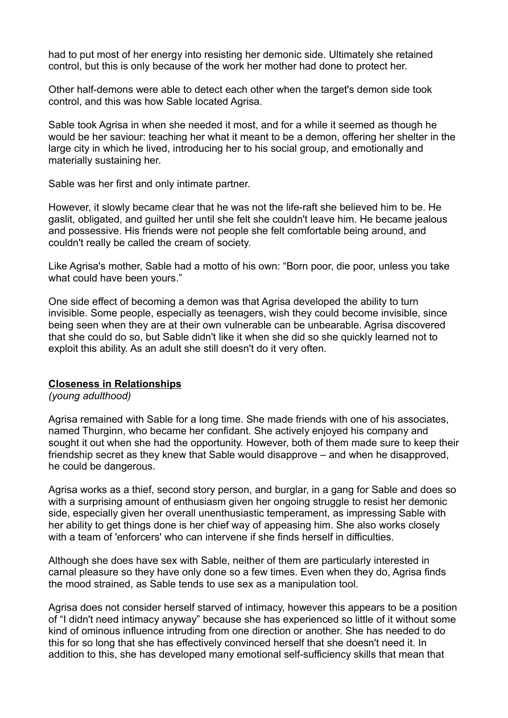had to put most of her energy into resisting her demonic side. Ultimately she retained control, but this is only because of the work her mother had done to protect her.

Other half-demons were able to detect each other when the target's demon side took control, and this was how Sable located Agrisa.

Sable took Agrisa in when she needed it most, and for a while it seemed as though he would be her saviour: teaching her what it meant to be a demon, offering her shelter in the large city in which he lived, introducing her to his social group, and emotionally and materially sustaining her.

Sable was her first and only intimate partner.

However, it slowly became clear that he was not the life-raft she believed him to be. He gaslit, obligated, and guilted her until she felt she couldn't leave him. He became jealous and possessive. His friends were not people she felt comfortable being around, and couldn't really be called the cream of society.

Like Agrisa's mother, Sable had a motto of his own: "Born poor, die poor, unless you take what could have been yours."

One side effect of becoming a demon was that Agrisa developed the ability to turn invisible. Some people, especially as teenagers, wish they could become invisible, since being seen when they are at their own vulnerable can be unbearable. Agrisa discovered that she could do so, but Sable didn't like it when she did so she quickly learned not to exploit this ability. As an adult she still doesn't do it very often.

## **Closeness in Relationships**

*(young adulthood)*

Agrisa remained with Sable for a long time. She made friends with one of his associates, named Thurginn, who became her confidant. She actively enjoyed his company and sought it out when she had the opportunity. However, both of them made sure to keep their friendship secret as they knew that Sable would disapprove – and when he disapproved, he could be dangerous.

Agrisa works as a thief, second story person, and burglar, in a gang for Sable and does so with a surprising amount of enthusiasm given her ongoing struggle to resist her demonic side, especially given her overall unenthusiastic temperament, as impressing Sable with her ability to get things done is her chief way of appeasing him. She also works closely with a team of 'enforcers' who can intervene if she finds herself in difficulties.

Although she does have sex with Sable, neither of them are particularly interested in carnal pleasure so they have only done so a few times. Even when they do, Agrisa finds the mood strained, as Sable tends to use sex as a manipulation tool.

Agrisa does not consider herself starved of intimacy, however this appears to be a position of "I didn't need intimacy anyway" because she has experienced so little of it without some kind of ominous influence intruding from one direction or another. She has needed to do this for so long that she has effectively convinced herself that she doesn't need it. In addition to this, she has developed many emotional self-sufficiency skills that mean that